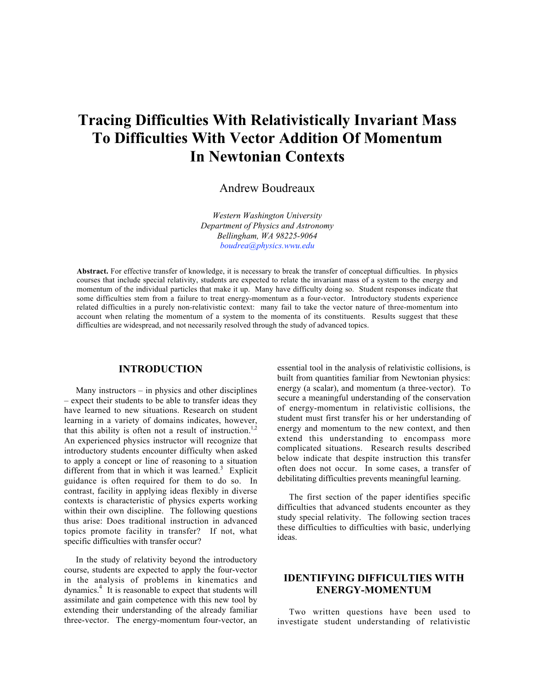# **Tracing Difficulties With Relativistically Invariant Mass To Difficulties With Vector Addition Of Momentum In Newtonian Contexts**

Andrew Boudreaux

*Western Washington University Department of Physics and Astronomy Bellingham, WA 98225-9064 boudrea@physics.wwu.edu*

**Abstract.** For effective transfer of knowledge, it is necessary to break the transfer of conceptual difficulties. In physics courses that include special relativity, students are expected to relate the invariant mass of a system to the energy and momentum of the individual particles that make it up. Many have difficulty doing so. Student responses indicate that some difficulties stem from a failure to treat energy-momentum as a four-vector. Introductory students experience related difficulties in a purely non-relativistic context: many fail to take the vector nature of three-momentum into account when relating the momentum of a system to the momenta of its constituents. Results suggest that these difficulties are widespread, and not necessarily resolved through the study of advanced topics.

#### **INTRODUCTION**

Many instructors – in physics and other disciplines – expect their students to be able to transfer ideas they have learned to new situations. Research on student learning in a variety of domains indicates, however, that this ability is often not a result of instruction.<sup>1,2</sup> An experienced physics instructor will recognize that introductory students encounter difficulty when asked to apply a concept or line of reasoning to a situation different from that in which it was learned.<sup>3</sup> Explicit guidance is often required for them to do so. In contrast, facility in applying ideas flexibly in diverse contexts is characteristic of physics experts working within their own discipline. The following questions thus arise: Does traditional instruction in advanced topics promote facility in transfer? If not, what specific difficulties with transfer occur?

In the study of relativity beyond the introductory course, students are expected to apply the four-vector in the analysis of problems in kinematics and dynamics.<sup>4</sup> It is reasonable to expect that students will assimilate and gain competence with this new tool by extending their understanding of the already familiar three-vector. The energy-momentum four-vector, an essential tool in the analysis of relativistic collisions, is built from quantities familiar from Newtonian physics: energy (a scalar), and momentum (a three-vector). To secure a meaningful understanding of the conservation of energy-momentum in relativistic collisions, the student must first transfer his or her understanding of energy and momentum to the new context, and then extend this understanding to encompass more complicated situations. Research results described below indicate that despite instruction this transfer often does not occur. In some cases, a transfer of debilitating difficulties prevents meaningful learning.

The first section of the paper identifies specific difficulties that advanced students encounter as they study special relativity. The following section traces these difficulties to difficulties with basic, underlying ideas.

# **IDENTIFYING DIFFICULTIES WITH ENERGY-MOMENTUM**

Two written questions have been used to investigate student understanding of relativistic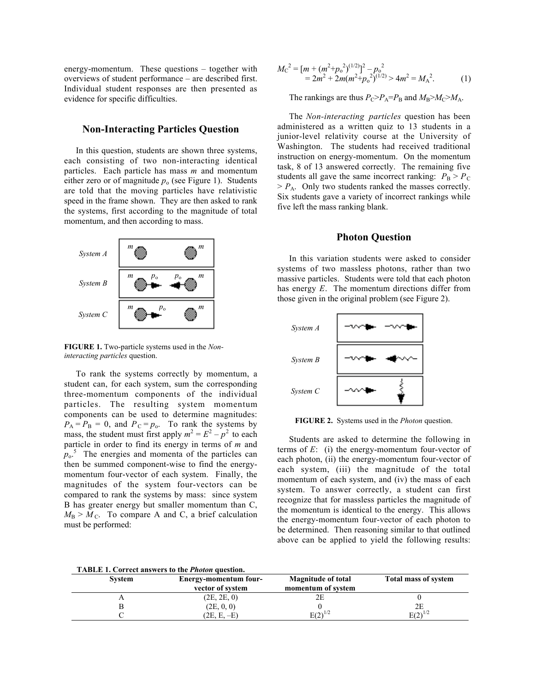energy-momentum. These questions – together with overviews of student performance – are described first. Individual student responses are then presented as evidence for specific difficulties.

## **Non-Interacting Particles Question**

In this question, students are shown three systems, each consisting of two non-interacting identical particles. Each particle has mass *m* and momentum either zero or of magnitude  $p_0$  (see Figure 1). Students are told that the moving particles have relativistic speed in the frame shown. They are then asked to rank the systems, first according to the magnitude of total momentum, and then according to mass.



**FIGURE 1.** Two-particle systems used in the *Noninteracting particles* question.

To rank the systems correctly by momentum, a student can, for each system, sum the corresponding three-momentum components of the individual particles. The resulting system momentum components can be used to determine magnitudes:  $P_A = P_B = 0$ , and  $P_C = p_o$ . To rank the systems by mass, the student must first apply  $m^2 = E^2 - p^2$  to each particle in order to find its energy in terms of *m* and  $p_0$ <sup>5</sup>. The energies and momenta of the particles can then be summed component-wise to find the energymomentum four-vector of each system. Finally, the magnitudes of the system four-vectors can be compared to rank the systems by mass: since system B has greater energy but smaller momentum than C,  $M_{\rm B}$  >  $M_{\rm C}$ . To compare A and C, a brief calculation must be performed:

$$
M_{\rm C}^{2} = [m + (m^{2} + p_{\rm o}^{2})^{(1/2)}]^{2} - p_{\rm o}^{2}
$$
  
= 2m^{2} + 2m(m^{2} + p\_{\rm o}^{2})^{(1/2)} > 4m^{2} = M\_{\rm A}^{2}. (1)

The rankings are thus  $P_{\rm C} > P_{\rm A} = P_{\rm B}$  and  $M_{\rm B} > M_{\rm C} > M_{\rm A}$ .

The *Non-interacting particles* question has been administered as a written quiz to 13 students in a junior-level relativity course at the University of Washington. The students had received traditional instruction on energy-momentum. On the momentum task, 8 of 13 answered correctly. The remaining five students all gave the same incorrect ranking:  $P_B > P_C$  $> P_A$ . Only two students ranked the masses correctly. Six students gave a variety of incorrect rankings while five left the mass ranking blank.

#### **Photon Question**

In this variation students were asked to consider systems of two massless photons, rather than two massive particles. Students were told that each photon has energy *E*. The momentum directions differ from those given in the original problem (see Figure 2).



**FIGURE 2.** Systems used in the *Photon* question.

Students are asked to determine the following in terms of *E*: (i) the energy-momentum four-vector of each photon, (ii) the energy-momentum four-vector of each system, (iii) the magnitude of the total momentum of each system, and (iv) the mass of each system. To answer correctly, a student can first recognize that for massless particles the magnitude of the momentum is identical to the energy. This allows the energy-momentum four-vector of each photon to be determined. Then reasoning similar to that outlined above can be applied to yield the following results:

|  | <b>TABLE 1. Correct answers to the Photon question.</b> |  |  |  |
|--|---------------------------------------------------------|--|--|--|
|--|---------------------------------------------------------|--|--|--|

| <b>System</b> | Energy-momentum four-<br>vector of system | <b>Magnitude of total</b><br>momentum of system | <b>Total mass of system</b> |
|---------------|-------------------------------------------|-------------------------------------------------|-----------------------------|
|               | (2E, 2E, 0)                               |                                                 |                             |
|               | (2E, 0, 0)                                |                                                 |                             |
|               | (2E, E, –E)                               | $E(2)^{1/2}$                                    | $\mathbf{E}(2)^{1/2}$       |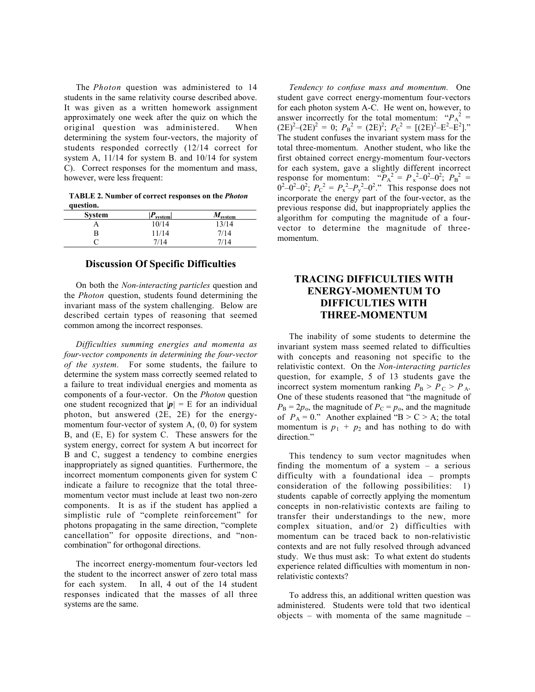The *Photon* question was administered to 14 students in the same relativity course described above. It was given as a written homework assignment approximately one week after the quiz on which the original question was administered. When determining the system four-vectors, the majority of students responded correctly (12/14 correct for system A, 11/14 for system B. and 10/14 for system C). Correct responses for the momentum and mass, however, were less frequent:

**TABLE 2. Number of correct responses on the** *Photon* **question.**

| <b>System</b> | D<br>system | $M_{\rm system}$ |
|---------------|-------------|------------------|
|               | 10/14       | 13/14            |
|               | 11/14       | 7/14             |
|               | 7/14        | 7/14             |

# **Discussion Of Specific Difficulties**

On both the *Non-interacting particles* question and the *Photon* question, students found determining the invariant mass of the system challenging. Below are described certain types of reasoning that seemed common among the incorrect responses.

*Difficulties summing energies and momenta as four-vector components in determining the four-vector of the system.* For some students, the failure to determine the system mass correctly seemed related to a failure to treat individual energies and momenta as components of a four-vector. On the *Photon* question one student recognized that  $|\mathbf{p}| = E$  for an individual photon, but answered (2E, 2E) for the energymomentum four-vector of system A, (0, 0) for system B, and (E, E) for system C. These answers for the system energy, correct for system A but incorrect for B and C, suggest a tendency to combine energies inappropriately as signed quantities. Furthermore, the incorrect momentum components given for system C indicate a failure to recognize that the total threemomentum vector must include at least two non-zero components. It is as if the student has applied a simplistic rule of "complete reinforcement" for photons propagating in the same direction, "complete cancellation" for opposite directions, and "noncombination" for orthogonal directions.

The incorrect energy-momentum four-vectors led the student to the incorrect answer of zero total mass for each system. In all, 4 out of the 14 student responses indicated that the masses of all three systems are the same.

*Tendency to confuse mass and momentum.* One student gave correct energy-momentum four-vectors for each photon system A-C. He went on, however, to answer incorrectly for the total momentum: " $P_A^2$  =  $(2E)^{2}$ - $(2E)^{2}$  = 0;  $P_{B}^{2}$  =  $(2E)^{2}$ ;  $P_{C}^{2}$  =  $[(2E)^{2}$ - $E^{2}$ - $E^{2}]$ ." The student confuses the invariant system mass for the total three-momentum. Another student, who like the first obtained correct energy-momentum four-vectors for each system, gave a slightly different incorrect response for momentum: " $P_A^2 = P_x^2 - 0^2 - 0^2$ ;  $P_B^2 =$  $0^2 - 0^2 - 0^2$ ;  $P_c^2 = P_x^2 - P_y^2 - 0^2$ ." This response does not incorporate the energy part of the four-vector, as the previous response did, but inappropriately applies the algorithm for computing the magnitude of a fourvector to determine the magnitude of threemomentum.

# **TRACING DIFFICULTIES WITH ENERGY-MOMENTUM TO DIFFICULTIES WITH THREE-MOMENTUM**

The inability of some students to determine the invariant system mass seemed related to difficulties with concepts and reasoning not specific to the relativistic context. On the *Non-interacting particles* question, for example, 5 of 13 students gave the incorrect system momentum ranking  $P_B > P_C > P_A$ . One of these students reasoned that "the magnitude of  $P_{\rm B} = 2p_{\rm o}$ , the magnitude of  $P_{\rm C} = p_{\rm o}$ , and the magnitude of  $P_A = 0$ ." Another explained "B > C > A; the total momentum is  $p_1 + p_2$  and has nothing to do with direction."

This tendency to sum vector magnitudes when finding the momentum of a system – a serious difficulty with a foundational idea – prompts consideration of the following possibilities: 1) students capable of correctly applying the momentum concepts in non-relativistic contexts are failing to transfer their understandings to the new, more complex situation, and/or 2) difficulties with momentum can be traced back to non-relativistic contexts and are not fully resolved through advanced study. We thus must ask: To what extent do students experience related difficulties with momentum in nonrelativistic contexts?

To address this, an additional written question was administered. Students were told that two identical objects – with momenta of the same magnitude –